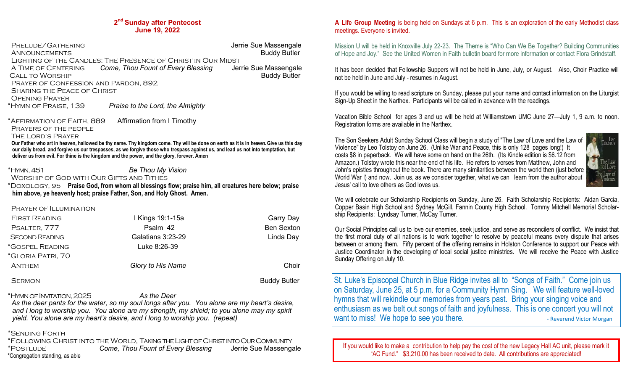### **2 nd Sunday after Pentecost June 19, 2022**

PRELUDE/GATHERING **Jerrie Sue Massengale** ANNOUNCEMENTS **Buddy Butler** Buddy Butler Lighting of the Candles: The Presence of Christ in Our Midst A Time of Centering *Come, Thou Fount of Every Blessing* Jerrie Sue Massengale Call to Worship Buddy Butler Prayer of Confession and Pardon, 892 Sharing the Peace of Christ Opening Prayer \*Hymn of Praise, 139 *Praise to the Lord, the Almighty* \*Affirmation of Faith, 889 Affirmation from I Timothy PRAYERS OF THE PEOPLE The Lord's Prayer  **Our Father who art in heaven, hallowed be thy name. Thy kingdom come. Thy will be done on earth as it is in heaven. Give us this day our daily bread, and forgive us our trespasses, as we forgive those who trespass against us, and lead us not into temptation, but deliver us from evil. For thine is the kingdom and the power, and the glory, forever. Amen** \*Hymn, 451 *Be Thou My Vision* Worship of God with Our Gifts and Tithes \*Doxology, 95 **Praise God, from whom all blessings flow; praise him, all creatures here below; praise him above, ye heavenly host; praise Father, Son, and Holy Ghost. Amen.** 

 Prayer of Illumination First Reading I Kings 19:1-15a Garry Day Psalter, 777 Psalm 42 Ben Sexton Second Reading Galatians 3:23-29 Linda Day \*Gospel Reading Luke 8:26-39 \*Gloria Patri, 70 Anthem *Glory to His Name* Choir SERMON **Buddy Butler** SERMON

\*Hymn of Invitation, 2025 *As the Deer*

 *As the deer pants for the water, so my soul longs after you. You alone are my heart's desire, and I long to worship you. You alone are my strength, my shield; to you alone may my spirit yield. You alone are my heart's desire, and I long to worship you. (repeat)*

## \*Sending Forth

\*Following Christ into the World, Taking the Light of Christ into Our Community \*Postlude *Come, Thou Fount of Every Blessing* Jerrie Sue Massengale \*Congregation standing, as able

## **A Life Group Meeting** is being held on Sundays at 6 p.m. This is an exploration of the early Methodist class meetings. Everyone is invited.

Mission U will be held in Knoxville July 22-23. The Theme is "Who Can We Be Together? Building Communities of Hope and Joy." See the United Women in Faith bulletin board for more information or contact Flora Grindstaff.

It has been decided that Fellowship Suppers will not be held in June, July, or August. Also, Choir Practice will not be held in June and July - resumes in August.

If you would be willing to read scripture on Sunday, please put your name and contact information on the Liturgist Sign-Up Sheet in the Narthex. Participants will be called in advance with the readings.

Vacation Bible School for ages 3 and up will be held at Williamstown UMC June 27—July 1, 9 a.m. to noon. Registration forms are available in the Narthex.

TOLSTON

The Son Seekers Adult Sunday School Class will begin a study of "The Law of Love and the Law of Violence" by Leo Tolstoy on June 26. (Unlike War and Peace, this is only 128 pages long!) It costs \$8 in paperback. We will have some on hand on the 26th. (Its Kindle edition is \$6.12 from Amazon.) Tolstoy wrote this near the end of his life. He refers to verses from Matthew, John and John's epistles throughout the book. There are many similarities between the world then (just before World War I) and now. Join us, as we consider together, what we can learn from the author about Jesus' call to love others as God loves us.



Our Social Principles call us to love our enemies, seek justice, and serve as reconcilers of conflict. We insist that the first moral duty of all nations is to work together to resolve by peaceful means every dispute that arises between or among them. Fifty percent of the offering remains in Holston Conference to support our Peace with Justice Coordinator in the developing of local social justice ministries. We will receive the Peace with Justice Sunday Offering on July 10.

St. Luke's Episcopal Church in Blue Ridge invites all to "Songs of Faith." Come join us on Saturday, June 25, at 5 p.m. for a Community Hymn Sing. We will feature well-loved hymns that will rekindle our memories from years past. Bring your singing voice and enthusiasm as we belt out songs of faith and joyfulness. This is one concert you will not want to miss! We hope to see you there.

If you would like to make a contribution to help pay the cost of the new Legacy Hall AC unit, please mark it "AC Fund." \$3,210.00 has been received to date. All contributions are appreciated!